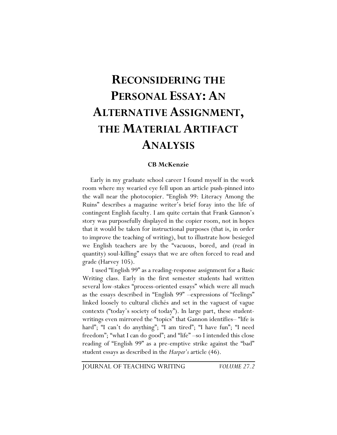# **RECONSIDERING THE PERSONAL ESSAY: AN ALTERNATIVE ASSIGNMENT, THE MATERIAL ARTIFACT ANALYSIS**

#### **CB McKenzie**

Early in my graduate school career I found myself in the work room where my wearied eye fell upon an article push-pinned into the wall near the photocopier. "English 99: Literacy Among the Ruins" describes a magazine writer's brief foray into the life of contingent English faculty. I am quite certain that Frank Gannon's story was purposefully displayed in the copier room, not in hopes that it would be taken for instructional purposes (that is, in order to improve the teaching of writing), but to illustrate how besieged we English teachers are by the "vacuous, bored, and (read in quantity) soul-killing" essays that we are often forced to read and grade (Harvey 105).

 I used "English 99" as a reading-response assignment for a Basic Writing class. Early in the first semester students had written several low-stakes "process-oriented essays" which were all much as the essays described in "English 99" –expressions of "feelings" linked loosely to cultural clichés and set in the vaguest of vague contexts ("today's society of today"). In large part, these studentwritings even mirrored the "topics" that Gannon identifies– "life is hard"; "I can't do anything"; "I am tired"; "I have fun"; "I need freedom"; "what I can do good"; and "life" –so I intended this close reading of "English 99" as a pre-emptive strike against the "bad" student essays as described in the *Harper's* article (46).

JOURNAL OF TEACHING WRITING *VOLUME 27.2*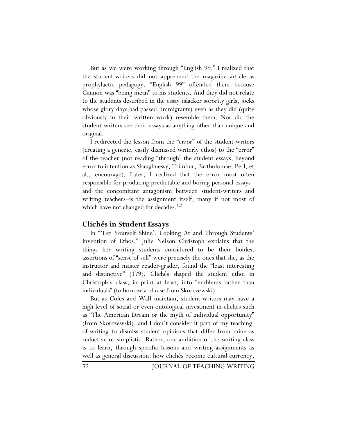But as we were working through "English 99," I realized that the student-writers did not apprehend the magazine article as prophylactic pedagogy. "English 99" offended them because Gannon was "being mean" to his students. And they did not relate to the students described in the essay (slacker sorority girls, jocks whose glory days had passed, immigrants) even as they did (quite obviously in their written work) resemble them. Nor did the student-writers see their essays as anything other than unique and original.

I redirected the lesson from the "error" of the student-writers (creating a generic, easily dismissed writerly ethos) to the "error" of the teacher (not reading "through" the student essays, beyond error to intention as Shaughnessy, Trimbur, Bartholomae, Perl, et al., encourage). Later, I realized that the error most often responsible for producing predictable and boring personal essays– and the concomitant antagonism between student-writers and writing teachers–is the assignment itself, many if not most of which have not changed for decades. $1,2$ 

## **Clichés in Student Essays**

In "'Let Yourself Shine': Looking At and Through Students' Invention of Ethos," Julie Nelson Christoph explains that the things her writing students considered to be their boldest assertions of "sense of self" were precisely the ones that she, as the instructor and master reader-grader, found the "least interesting and distinctive" (179). Clichés shaped the student ethoi in Christoph's class, in print at least, into "emblems rather than individuals" (to borrow a phrase from Skorczewski).

But as Coles and Wall maintain, student-writers may have a high level of social or even ontological investment in clichés such as "The American Dream or the myth of individual opportunity" (from Skorczewski), and I don't consider it part of my teachingof-writing to dismiss student opinions that differ from mine as reductive or simplistic. Rather, one ambition of the writing class is to learn, through specific lessons and writing assignments as well as general discussion, how clichés become cultural currency,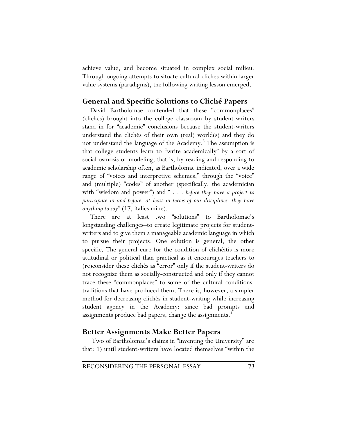achieve value, and become situated in complex social milieu. Through ongoing attempts to situate cultural clichés within larger value systems (paradigms), the following writing lesson emerged.

# **General and Specific Solutions to Cliché Papers**

David Bartholomae contended that these "commonplaces" (clichés) brought into the college classroom by student-writers stand in for "academic" conclusions because the student-writers understand the clichés of their own (real) world(s) and they do not understand the language of the Academy.<sup>3</sup> The assumption is that college students learn to "write academically" by a sort of social osmosis or modeling, that is, by reading and responding to academic scholarship often, as Bartholomae indicated, over a wide range of "voices and interpretive schemes," through the "voice" and (multiple) "codes" of another (specifically, the academician with "wisdom and power") and " *. . . before they have a project to participate in and before, at least in terms of our disciplines, they have anything to say*" (17, italics mine).

There are at least two "solutions" to Bartholomae's longstanding challenges–to create legitimate projects for studentwriters and to give them a manageable academic language in which to pursue their projects. One solution is general, the other specific. The general cure for the condition of clichéitis is more attitudinal or political than practical as it encourages teachers to (re)consider these clichés as "error" only if the student-writers do not recognize them as socially-constructed and only if they cannot trace these "commonplaces" to some of the cultural conditionstraditions that have produced them. There is, however, a simpler method for decreasing clichés in student-writing while increasing student agency in the Academy: since bad prompts and assignments produce bad papers, change the assignments.<sup>4</sup>

## **Better Assignments Make Better Papers**

 Two of Bartholomae's claims in "Inventing the University" are that: 1) until student-writers have located themselves "within the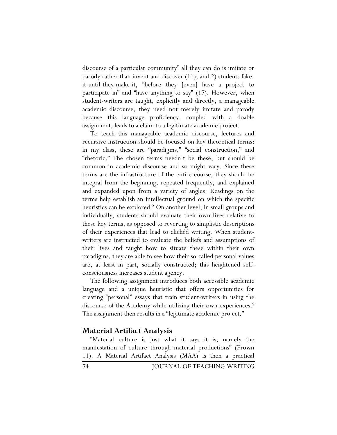discourse of a particular community" all they can do is imitate or parody rather than invent and discover (11); and 2) students fakeit-until-they-make-it, "before they [even] have a project to participate in" and "have anything to say" (17). However, when student-writers are taught, explicitly and directly, a manageable academic discourse, they need not merely imitate and parody because this language proficiency, coupled with a doable assignment, leads to a claim to a legitimate academic project.

To teach this manageable academic discourse, lectures and recursive instruction should be focused on key theoretical terms: in my class, these are "paradigms," "social construction," and "rhetoric." The chosen terms needn't be these, but should be common in academic discourse and so might vary. Since these terms are the infrastructure of the entire course, they should be integral from the beginning, repeated frequently, and explained and expanded upon from a variety of angles. Readings on the terms help establish an intellectual ground on which the specific heuristics can be explored.<sup>5</sup> On another level, in small groups and individually, students should evaluate their own lives relative to these key terms, as opposed to reverting to simplistic descriptions of their experiences that lead to clichéd writing. When studentwriters are instructed to evaluate the beliefs and assumptions of their lives and taught how to situate these within their own paradigms, they are able to see how their so-called personal values are, at least in part, socially constructed; this heightened selfconsciousness increases student agency.

The following assignment introduces both accessible academic language and a unique heuristic that offers opportunities for creating "personal" essays that train student-writers in using the discourse of the Academy while utilizing their own experiences.<sup>6</sup> The assignment then results in a "legitimate academic project."

## **Material Artifact Analysis**

"Material culture is just what it says it is, namely the manifestation of culture through material productions" (Prown 11). A Material Artifact Analysis (MAA) is then a practical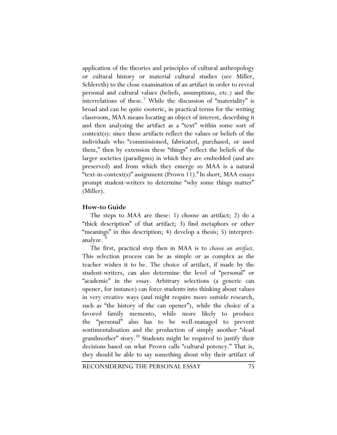application of the theories and principles of cultural anthropology or cultural history or material cultural studies (see Miller, Schlereth) to the close examination of an artifact in order to reveal personal and cultural values (beliefs, assumptions, etc.) and the interrelations of these.<sup>7</sup> While the discussion of "materiality" is broad and can be quite esoteric, in practical terms for the writing classroom, MAA means locating an object of interest, describing it and then analyzing the artifact as a "text" within some sort of context(s): since these artifacts reflect the values or beliefs of the individuals who "commissioned, fabricated, purchased, or used them," then by extension these "things" reflect the beliefs of the larger societies (paradigms) in which they are embedded (and are preserved) and from which they emerge so MAA is a natural "text-in-context(s)" assignment (Prown 11). <sup>8</sup> In short, MAA essays prompt student-writers to determine "why some things matter" (Miller).

#### **How-to Guide**

The steps to MAA are these: 1) choose an artifact; 2) do a "thick description" of that artifact; 3) find metaphors or other "meanings" in this description; 4) develop a thesis; 5) interpretanalyze.

The first, practical step then in MAA is to *choose an artifact*. This selection process can be as simple or as complex as the teacher wishes it to be. The choice of artifact, if made by the student-writers, can also determine the level of "personal" or "academic" in the essay. Arbitrary selections (a generic can opener, for instance) can force students into thinking about values in very creative ways (and might require more outside research, such as "the history of the can opener"), while the choice of a favored family memento, while more likely to produce the "personal" also has to be well-managed to prevent sentimentalization and the production of simply another "dead grandmother" story.<sup>10</sup> Students might be required to justify their decisions based on what Prown calls "cultural potency." That is, they should be able to say something about why their artifact of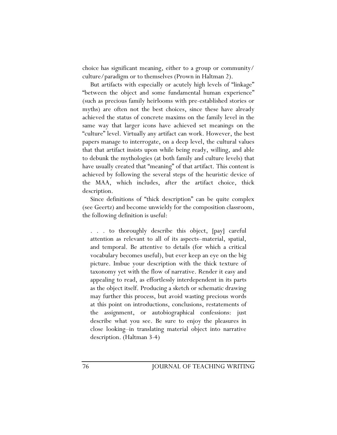choice has significant meaning, either to a group or community/ culture/paradigm or to themselves (Prown in Haltman 2).

But artifacts with especially or acutely high levels of "linkage" "between the object and some fundamental human experience" (such as precious family heirlooms with pre-established stories or myths) are often not the best choices, since these have already achieved the status of concrete maxims on the family level in the same way that larger icons have achieved set meanings on the "culture" level. Virtually any artifact can work. However, the best papers manage to interrogate, on a deep level, the cultural values that that artifact insists upon while being ready, willing, and able to debunk the mythologies (at both family and culture levels) that have usually created that "meaning" of that artifact. This content is achieved by following the several steps of the heuristic device of the MAA, which includes, after the artifact choice, thick description.

Since definitions of "thick description" can be quite complex (see Geertz) and become unwieldy for the composition classroom, the following definition is useful:

. to thoroughly describe this object, [pay] careful attention as relevant to all of its aspects–material, spatial, and temporal. Be attentive to details (for which a critical vocabulary becomes useful), but ever keep an eye on the big picture. Imbue your description with the thick texture of taxonomy yet with the flow of narrative. Render it easy and appealing to read, as effortlessly interdependent in its parts as the object itself. Producing a sketch or schematic drawing may further this process, but avoid wasting precious words at this point on introductions, conclusions, restatements of the assignment, or autobiographical confessions: just describe what you see. Be sure to enjoy the pleasures in close looking–in translating material object into narrative description. (Haltman 3-4)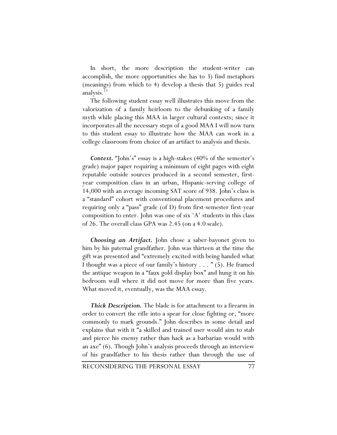In short, the more description the student-writer can accomplish, the more opportunities she has to 3) find metaphors (meanings) from which to 4) develop a thesis that 5) guides real analysis.<sup>11</sup>

The following student essay well illustrates this move from the valorization of a family heirloom to the debunking of a family myth while placing this MAA in larger cultural contexts; since it incorporates all the necessary steps of a good MAA I will now turn to this student essay to illustrate how the MAA can work in a college classroom from choice of an artifact to analysis and thesis.

*Context.* "John's" essay is a high-stakes (40% of the semester's grade) major paper requiring a minimum of eight pages with eight reputable outside sources produced in a second semester, firstyear composition class in an urban, Hispanic-serving college of 14,000 with an average incoming SAT score of 938. John's class is a "standard" cohort with conventional placement procedures and requiring only a "pass" grade (of D) from first-semester first-year composition to enter. John was one of six 'A' students in this class of 26. The overall class GPA was 2.45 (on a 4.0 scale).

*Choosing an Artifact.* John chose a saber-bayonet given to him by his paternal grandfather. John was thirteen at the time the gift was presented and "extremely excited with being handed what I thought was a piece of our family's history . . . " (5). He framed the antique weapon in a "faux gold display box" and hung it on his bedroom wall where it did not move for more than five years. What moved it, eventually, was the MAA essay.

*Thick Description.* The blade is for attachment to a firearm in order to convert the rifle into a spear for close fighting or, "more commonly to mark grounds." John describes in some detail and explains that with it "a skilled and trained user would aim to stab and pierce his enemy rather than hack as a barbarian would with an axe" (6). Though John's analysis proceeds through an interview of his grandfather to his thesis rather than through the use of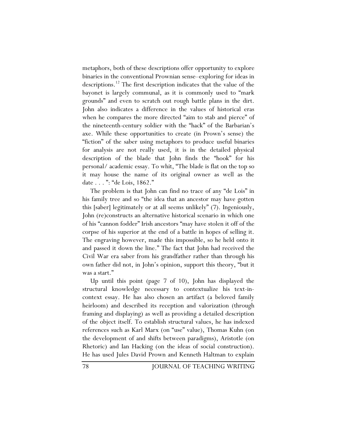metaphors, both of these descriptions offer opportunity to explore binaries in the conventional Prownian sense–exploring for ideas in descriptions.12 The first description indicates that the value of the bayonet is largely communal, as it is commonly used to "mark grounds" and even to scratch out rough battle plans in the dirt. John also indicates a difference in the values of historical eras when he compares the more directed "aim to stab and pierce" of the nineteenth-century soldier with the "hack" of the Barbarian's axe. While these opportunities to create (in Prown's sense) the "fiction" of the saber using metaphors to produce useful binaries for analysis are not really used, it is in the detailed physical description of the blade that John finds the "hook" for his personal/ academic essay. To whit, "The blade is flat on the top so it may house the name of its original owner as well as the date . . . ": "de Lois, 1862."

The problem is that John can find no trace of any "de Lois" in his family tree and so "the idea that an ancestor may have gotten this [saber] legitimately or at all seems unlikely" (7). Ingeniously, John (re)constructs an alternative historical scenario in which one of his "cannon fodder" Irish ancestors "may have stolen it off of the corpse of his superior at the end of a battle in hopes of selling it. The engraving however, made this impossible, so he held onto it and passed it down the line." The fact that John had received the Civil War era saber from his grandfather rather than through his own father did not, in John's opinion, support this theory, "but it was a start."

Up until this point (page 7 of 10), John has displayed the structural knowledge necessary to contextualize his text-incontext essay. He has also chosen an artifact (a beloved family heirloom) and described its reception and valorization (through framing and displaying) as well as providing a detailed description of the object itself. To establish structural values, he has indexed references such as Karl Marx (on "use" value), Thomas Kuhn (on the development of and shifts between paradigms), Aristotle (on Rhetoric) and Ian Hacking (on the ideas of social construction). He has used Jules David Prown and Kenneth Haltman to explain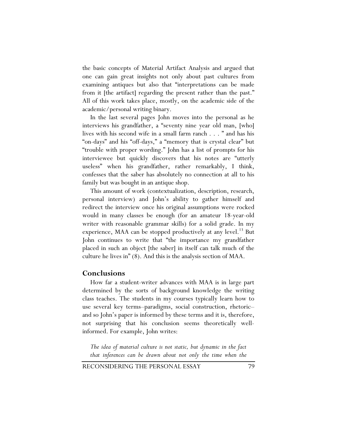the basic concepts of Material Artifact Analysis and argued that one can gain great insights not only about past cultures from examining antiques but also that "interpretations can be made from it [the artifact] regarding the present rather than the past." All of this work takes place, mostly, on the academic side of the academic/personal writing binary.

In the last several pages John moves into the personal as he interviews his grandfather, a "seventy nine year old man, [who] lives with his second wife in a small farm ranch . . . " and has his "on-days" and his "off-days," a "memory that is crystal clear" but "trouble with proper wording." John has a list of prompts for his interviewee but quickly discovers that his notes are "utterly useless" when his grandfather, rather remarkably, I think, confesses that the saber has absolutely no connection at all to his family but was bought in an antique shop.

This amount of work (contextualization, description, research, personal interview) and John's ability to gather himself and redirect the interview once his original assumptions were rocked would in many classes be enough (for an amateur 18-year-old writer with reasonable grammar skills) for a solid grade. In my experience, MAA can be stopped productively at any level.<sup>13</sup> But John continues to write that "the importance my grandfather placed in such an object [the saber] in itself can talk much of the culture he lives in" (8). And this is the analysis section of MAA.

#### **Conclusions**

How far a student-writer advances with MAA is in large part determined by the sorts of background knowledge the writing class teaches. The students in my courses typically learn how to use several key terms–paradigms, social construction, rhetoric– and so John's paper is informed by these terms and it is, therefore, not surprising that his conclusion seems theoretically wellinformed. For example, John writes:

*The idea of material culture is not static, but dynamic in the fact that inferences can be drawn about not only the time when the* 

RECONSIDERING THE PERSONAL ESSAY 79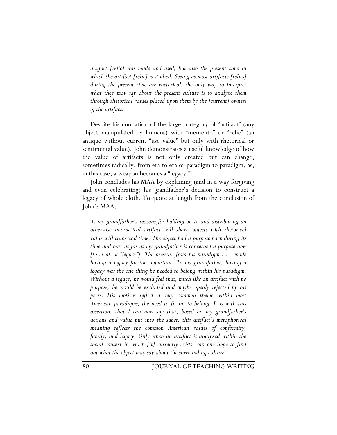*artifact [relic] was made and used, but also the present time in which the artifact [relic] is studied. Seeing as most artifacts [relics] during the present time are rhetorical, the only way to interpret what they may say about the present culture is to analyze them through rhetorical values placed upon them by the [current] owners of the artifact.* 

Despite his conflation of the larger category of "artifact" (any object manipulated by humans) with "memento" or "relic" (an antique without current "use value" but only with rhetorical or sentimental value), John demonstrates a useful knowledge of how the value of artifacts is not only created but can change, sometimes radically, from era to era or paradigm to paradigm, as, in this case, a weapon becomes a "legacy."

John concludes his MAA by explaining (and in a way forgiving and even celebrating) his grandfather's decision to construct a legacy of whole cloth. To quote at length from the conclusion of John's MAA:

*As my grandfather's reasons for holding on to and distributing an otherwise impractical artifact will show, objects with rhetorical value will transcend time. The object had a purpose back during its time and has, as far as my grandfather is concerned a purpose now [to create a "legacy"]. The pressure from his paradigm . . . made having a legacy far too important. To my grandfather, having a legacy was the one thing he needed to belong within his paradigm. Without a legacy, he would feel that, much like an artifact with no purpose, he would be excluded and maybe openly rejected by his peers. His motives reflect a very common theme within most American paradigms, the need to fit in, to belong. It is with this assertion, that I can now say that, based on my grandfather's actions and value put into the saber, this artifact's metaphorical meaning reflects the common American values of conformity, family, and legacy. Only when an artifact is analyzed within the social context in which [it] currently exists, can one hope to find out what the object may say about the surrounding culture.*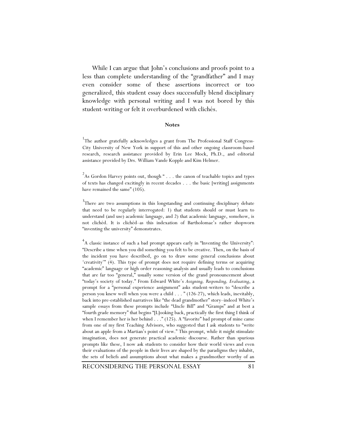While I can argue that John's conclusions and proofs point to a less than complete understanding of the "grandfather" and I may even consider some of these assertions incorrect or too generalized, this student essay does successfully blend disciplinary knowledge with personal writing and I was not bored by this student-writing or felt it overburdened with clichés.

#### **Notes**

<sup>1</sup>The author gratefully acknowledges a grant from The Professional Staff Congress-City University of New York in support of this and other ongoing classroom-based research, research assistance provided by Erin Lee Mock, Ph.D., and editorial assistance provided by Drs. William Vande Kopple and Kim Helmer.

<sup>2</sup>As Gordon Harvey points out, though " . . . the canon of teachable topics and types of texts has changed excitingly in recent decades . . . the basic [writing] assignments have remained the same" (105).

<sup>3</sup>There are two assumptions in this longstanding and continuing disciplinary debate that need to be regularly interrogated: 1) that students should or must learn to understand (and use) academic language, and 2) that academic language, somehow, is not clichéd. It is clichéd–as this indexation of Bartholomae's rather shopworn "inventing the university" demonstrates.

4 A classic instance of such a bad prompt appears early in "Inventing the University": "Describe a time when you did something you felt to be creative. Then, on the basis of the incident you have described, go on to draw some general conclusions about 'creativity'" (4). This type of prompt does not require defining terms or acquiring "academic" language or high order reasoning-analysis and usually leads to conclusions that are far too "general," usually some version of the grand pronouncement about "today's society of today." From Edward White's *Assigning, Responding, Evaluating*, a prompt for a "personal experience assignment" asks student-writers to "describe a person you knew well when you were a child . . . " (126-27), which leads, inevitably, back into pre-established narratives like "the dead grandmother" story–indeed White's sample essays from these prompts include "Uncle Bill" and "Gramps" and at best a "fourth grade memory" that begins "[L]ooking back, practically the first thing I think of when I remember her is her behind . . ." (125). A "favorite" bad prompt of mine came from one of my first Teaching Advisors, who suggested that I ask students to "write about an apple from a Martian's point of view." This prompt, while it might stimulate imagination, does not generate practical academic discourse. Rather than spurious prompts like these, I now ask students to consider how their world views and even their evaluations of the people in their lives are shaped by the paradigms they inhabit, the sets of beliefs and assumptions about what makes a grandmother worthy of an

RECONSIDERING THE PERSONAL ESSAY 81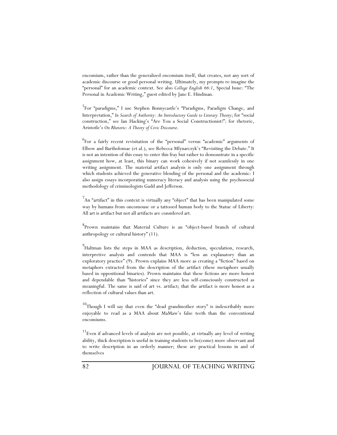encomium, rather than the generalized encomium itself, that creates, not any sort of academic discourse or good personal writing. Ultimately, my prompts re-imagine the "personal" for an academic context. See also *College English 66:1*, Special Issue: "The Personal in Academic Writing," guest edited by Jane E. Hindman.

5 For "paradigms," I use Stephen Bonnycastle's "Paradigms, Paradigm Change, and Interpretation," *In Search of Authority: An Introductory Guide to Literary Theory*; for "social construction," see Ian Hacking's "Are You a Social Constructionist?"*;* for rhetoric, Aristotle's *On Rhetoric: A Theory of Civic Discourse*.

6 For a fairly recent revisitation of the "personal" versus "academic" arguments of Elbow and Bartholomae (et al.), see Rebecca Mlynarczyk's "Revisiting the Debate." It is not an intention of this essay to enter this fray but rather to demonstrate in a specific assignment how, at least, this binary can work cohesively if not seamlessly in one writing assignment. The material artifact analysis is only one assignment through which students achieved the generative blending of the personal and the academic: I also assign essays incorporating numeracy literacy and analysis using the psychosocial methodology of criminologists Gadd and Jefferson.

 $7$ An "artifact" in this context is virtually any "object" that has been manipulated some way by humans from oncomouse or a tattooed human body to the Statue of Liberty: All art is artifact but not all artifacts are considered art.

8 Prown maintains that Material Culture is an "object-based branch of cultural anthropology or cultural history" (11).

9 Haltman lists the steps in MAA as description, deduction, speculation, research, interpretive analysis and contends that MAA is "less an explanatory than an exploratory practice" (9). Prown explains MAA more as creating a "fiction" based on metaphors extracted from the description of the artifact (these metaphors usually based in oppositional binaries). Prown maintains that these fictions are more honest and dependable than "histories" since they are less self-consciously constructed as meaningful. The same is said of art vs. artifact; that the artifact is more honest as a reflection of cultural values than art.

 $10$ Though I will say that even the "dead grandmother story" is indescribably more enjoyable to read as a MAA about MaMaw's false teeth than the conventional encomiums.

 $11$ Even if advanced levels of analysis are not possible, at virtually any level of writing ability, thick description is useful in training students to be(come) more observant and to write description in an orderly manner; these are practical lessons in and of themselves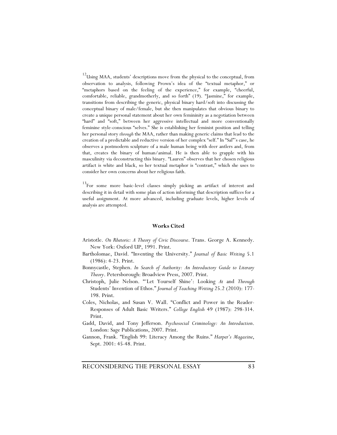$12$ Using MAA, students' descriptions move from the physical to the conceptual, from observation to analysis, following Prown's idea of the "textual metaphor," or "metaphors based on the feeling of the experience," for example, "cheerful, comfortable, reliable, grandmotherly, and so forth" (19). "Jasmine," for example, transitions from describing the generic, physical binary hard/soft into discussing the conceptual binary of male/female, but she then manipulates that obvious binary to create a unique personal statement about her own femininity as a negotiation between "hard" and "soft," between her aggressive intellectual and more conventionally feminine style-conscious "selves." She is establishing her feminist position and telling her personal story *through* the MAA, rather than making generic claims that lead to the creation of a predictable and reductive version of her complex "self." In "Sal"'s case, he observes a postmodern sculpture of a male human being with deer antlers and, from that, creates the binary of human/animal. He is then able to grapple with his masculinity via deconstructing this binary. "Lauren" observes that her chosen religious artifact is white and black, so her textual metaphor is "contrast," which she uses to consider her own concerns about her religious faith.

<sup>13</sup>For some more basic-level classes simply picking an artifact of interest and describing it in detail with some plan of action informing that description suffices for a useful assignment. At more advanced, including graduate levels, higher levels of analysis are attempted.

#### **Works Cited**

- Aristotle. *On Rhetoric: A Theory of Civic Discourse*. Trans. George A. Kennedy. New York: Oxford UP, 1991. Print.
- Bartholomae, David. "Inventing the University." *Journal of Basic Writing* 5.1 (1986): 4-23. Print.
- Bonnycastle, Stephen. *In Search of Authority: An Introductory Guide to Literary Theory*. Petersborough: Broadview Press, 2007. Print.
- Christoph, Julie Nelson. "'Let Yourself Shine': Looking *At* and *Through* Students' Invention of Ethos." *Journal of Teaching Writing* 25.2 (2010): 177- 198. Print.
- Coles, Nicholas, and Susan V. Wall. "Conflict and Power in the Reader-Responses of Adult Basic Writers." *College English* 49 (1987): 298-314. Print.
- Gadd, David, and Tony Jefferson. *Psychosocial Criminology: An Introduction*. London: Sage Publications, 2007. Print.
- Gannon, Frank. "English 99: Literacy Among the Ruins." *Harper's Magazine*, Sept. 2001: 45-48. Print.

RECONSIDERING THE PERSONAL ESSAY 83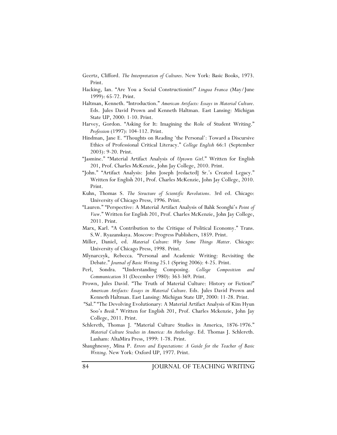- Geertz, Clifford. *The Interpretation of Cultures*. New York: Basic Books, 1973. Print.
- Hacking, Ian. "Are You a Social Constructionist?" *Lingua Franca* (May/June 1999): 65-72. Print.
- Haltman, Kenneth. "Introduction." *American Artifacts: Essays in Material Culture*. Eds. Jules David Prown and Kenneth Haltman. East Lansing: Michigan State UP, 2000: 1-10. Print.
- Harvey, Gordon. "Asking for It: Imagining the Role of Student Writing." *Profession* (1997): 104-112. Print.
- Hindman, Jane E. "Thoughts on Reading 'the Personal': Toward a Discursive Ethics of Professional Critical Literacy." *College English* 66:1 (September 2003): 9-20. Print.
- "Jasmine." "Material Artifact Analysis of *Uptown Girl*." Written for English 201, Prof. Charles McKenzie, John Jay College, 2010. Print.
- "John." "Artifact Analysis: John Joseph [redacted] Sr.'s Created Legacy." Written for English 201, Prof. Charles McKenzie, John Jay College, 2010. Print.
- Kuhn, Thomas S. *The Structure of Scientific Revolutions*. 3rd ed. Chicago: University of Chicago Press, 1996. Print.
- "Lauren." "Perspective: A Material Artifact Analysis of Bahk Seonghi's *Point of View*." Written for English 201, Prof. Charles McKenzie, John Jay College, 2011. Print.
- Marx, Karl. "A Contribution to the Critique of Political Economy." Trans. S.W. Ryazanskaya. Moscow: Progress Publishers, 1859. Print.
- Miller, Daniel, ed. *Material Culture: Why Some Things Matter*. Chicago: University of Chicago Press, 1998. Print.
- Mlynarczyk, Rebecca. "Personal and Academic Writing: Revisiting the Debate." *Journal of Basic Writing* 25.1 (Spring 2006): 4-25. Print.
- Perl, Sondra. "Understanding Composing. *College Composition and Communication* 31 (December 1980): 363-369. Print.
- Prown, Jules David. "The Truth of Material Culture: History or Fiction?" *American Artifacts: Essays in Material Culture*. Eds. Jules David Prown and Kenneth Haltman. East Lansing: Michigan State UP, 2000: 11-28. Print.
- "Sal." "The Devolving Evolutionary: A Material Artifact Analysis of Kim Hyun Soo's *Breik*." Written for English 201, Prof. Charles Mckenzie, John Jay College, 2011. Print.
- Schlereth, Thomas J. "Material Culture Studies in America, 1876-1976." *Material Culture Studies in America: An Anthology*. Ed. Thomas J. Schlereth. Lanham: AltaMira Press, 1999: 1-78. Print.
- Shaughnessy, Mina P. *Errors and Expectations: A Guide for the Teacher of Basic Writing*. New York: Oxford UP, 1977. Print.